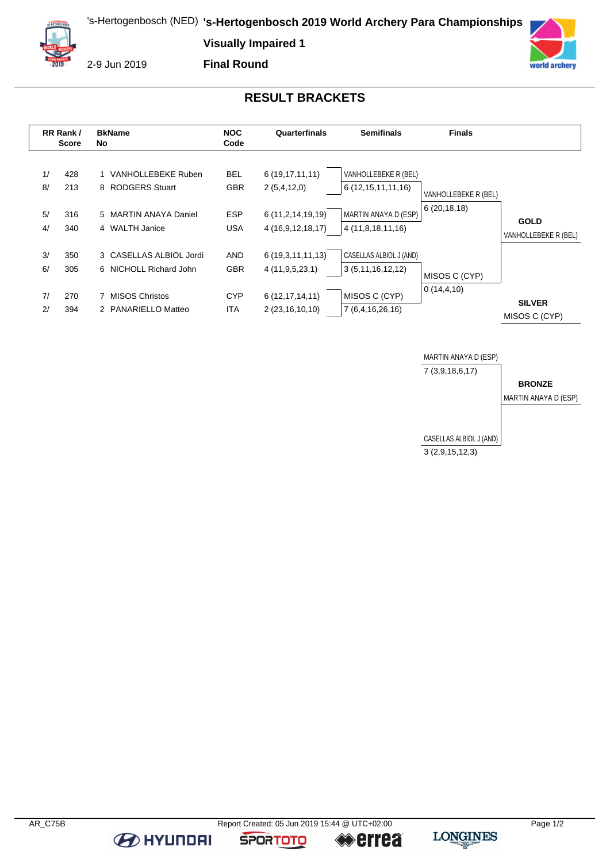's-Hertogenbosch (NED) **'s-Hertogenbosch 2019 World Archery Para Championships**

**Visually Impaired 1**



2-9 Jun 2019

**Final Round**



## **RESULT BRACKETS**

|                      | RR Rank/<br><b>Score</b> | <b>BkName</b><br>No                                                                               | <b>NOC</b><br>Code                                   | Quarterfinals                                                                  | <b>Semifinals</b>                                                                      | <b>Finals</b>                         |                                     |
|----------------------|--------------------------|---------------------------------------------------------------------------------------------------|------------------------------------------------------|--------------------------------------------------------------------------------|----------------------------------------------------------------------------------------|---------------------------------------|-------------------------------------|
| 1/<br>8/<br>5/<br>4/ | 428<br>213<br>316<br>340 | 1 VANHOLLEBEKE Ruben<br>8 RODGERS Stuart<br>5 MARTIN ANAYA Daniel<br>4 WALTH Janice               | <b>BEL</b><br><b>GBR</b><br><b>ESP</b><br><b>USA</b> | 6(19, 17, 11, 11)<br>2(5,4,12,0)<br>6 (11, 2, 14, 19, 19)<br>4 (16,9,12,18,17) | VANHOLLEBEKE R (BEL)<br>6(12,15,11,11,16)<br>MARTIN ANAYA D (ESP)<br>4 (11,8,18,11,16) | VANHOLLEBEKE R (BEL)<br>6(20, 18, 18) | <b>GOLD</b><br>VANHOLLEBEKE R (BEL) |
| 3/<br>6/<br>7/<br>2/ | 350<br>305<br>270<br>394 | 3 CASELLAS ALBIOL Jordi<br>6 NICHOLL Richard John<br><b>MISOS Christos</b><br>2 PANARIELLO Matteo | <b>AND</b><br><b>GBR</b><br><b>CYP</b><br><b>ITA</b> | 6(19,3,11,11,13)<br>4(11, 9, 5, 23, 1)<br>6(12, 17, 14, 11)<br>2 (23,16,10,10) | CASELLAS ALBIOL J (AND)<br>3(5,11,16,12,12)<br>MISOS C (CYP)<br>7 (6,4,16,26,16)       | MISOS C (CYP)<br>0(14, 4, 10)         | <b>SILVER</b><br>MISOS C (CYP)      |



**B** HYUNDAI

**SPORTOTO** 

**errea**